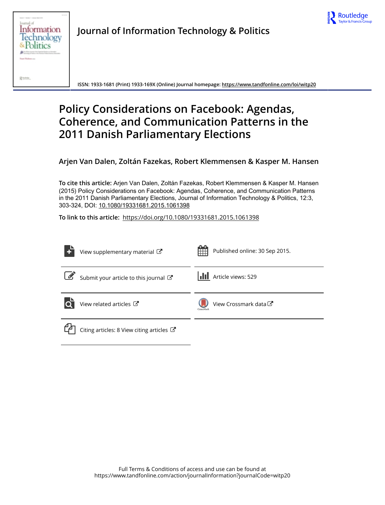



**Journal of Information Technology & Politics**

**ISSN: 1933-1681 (Print) 1933-169X (Online) Journal homepage: <https://www.tandfonline.com/loi/witp20>**

# **Policy Considerations on Facebook: Agendas, Coherence, and Communication Patterns in the 2011 Danish Parliamentary Elections**

**Arjen Van Dalen, Zoltán Fazekas, Robert Klemmensen & Kasper M. Hansen**

**To cite this article:** Arjen Van Dalen, Zoltán Fazekas, Robert Klemmensen & Kasper M. Hansen (2015) Policy Considerations on Facebook: Agendas, Coherence, and Communication Patterns in the 2011 Danish Parliamentary Elections, Journal of Information Technology & Politics, 12:3, 303-324, DOI: [10.1080/19331681.2015.1061398](https://www.tandfonline.com/action/showCitFormats?doi=10.1080/19331681.2015.1061398)

**To link to this article:** <https://doi.org/10.1080/19331681.2015.1061398>

| View supplementary material $\mathbb{Z}$             | Published online: 30 Sep 2015.     |
|------------------------------------------------------|------------------------------------|
| Submit your article to this journal                  | Article views: 529                 |
| View related articles C                              | View Crossmark data C<br>CrossMark |
| Citing articles: 8 View citing articles $\mathbb{Z}$ |                                    |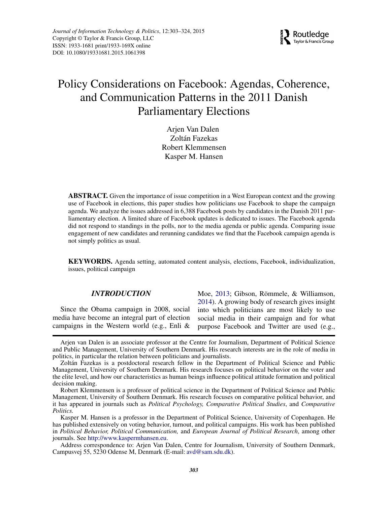

# Policy Considerations on Facebook: Agendas, Coherence, and Communication Patterns in the 2011 Danish Parliamentary Elections

Arjen Van Dalen Zoltán Fazekas Robert Klemmensen Kasper M. Hansen

**ABSTRACT.** Given the importance of issue competition in a West European context and the growing use of Facebook in elections, this paper studies how politicians use Facebook to shape the campaign agenda. We analyze the issues addressed in 6,388 Facebook posts by candidates in the Danish 2011 parliamentary election. A limited share of Facebook updates is dedicated to issues. The Facebook agenda did not respond to standings in the polls, nor to the media agenda or public agenda. Comparing issue engagement of new candidates and rerunning candidates we find that the Facebook campaign agenda is not simply politics as usual.

**KEYWORDS.** Agenda setting, automated content analysis, elections, Facebook, individualization, issues, political campaign

## *INTRODUCTION*

Since the Obama campaign in 2008, social media have become an integral part of election campaigns in the Western world (e.g., Enli &

Moe, [2013;](#page-21-0) Gibson, Römmele, & Williamson, [2014\)](#page-21-1). A growing body of research gives insight into which politicians are most likely to use social media in their campaign and for what purpose Facebook and Twitter are used (e.g.,

Arjen van Dalen is an associate professor at the Centre for Journalism, Department of Political Science and Public Management, University of Southern Denmark. His research interests are in the role of media in politics, in particular the relation between politicians and journalists.

Zoltán Fazekas is a postdoctoral research fellow in the Department of Political Science and Public Management, University of Southern Denmark. His research focuses on political behavior on the voter and the elite level, and how our characteristics as human beings influence political attitude formation and political decision making.

Robert Klemmensen is a professor of political science in the Department of Political Science and Public Management, University of Southern Denmark. His research focuses on comparative political behavior, and it has appeared in journals such as *Political Psychology, Comparative Political Studies*, and *Comparative Politics.*

Kasper M. Hansen is a professor in the Department of Political Science, University of Copenhagen. He has published extensively on voting behavior, turnout, and political campaigns. His work has been published in *Political Behavior, Political Communication,* and *European Journal of Political Research*, among other journals. See [http://www.kaspermhansen.eu.](http://www.kaspermhansen.eu)

Address correspondence to: Arjen Van Dalen, Centre for Journalism, University of Southern Denmark, Campusvej 55, 5230 Odense M, Denmark (E-mail: avd@sam.sdu.dk).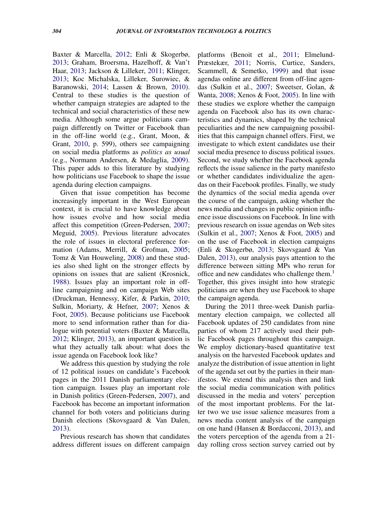Baxter & Marcella, [2012;](#page-20-0) Enli & Skogerbø, [2013;](#page-21-2) Graham, Broersma, Hazelhoff, & Van't Haar, [2013;](#page-21-3) Jackson & Lilleker, [2011;](#page-21-4) Klinger, [2013;](#page-21-5) Koc Michalska, Lilleker, Surowiec, & Baranowski, [2014;](#page-21-6) Lassen & Brown, [2010\)](#page-22-0). Central to these studies is the question of whether campaign strategies are adapted to the technical and social characteristics of these new media. Although some argue politicians campaign differently on Twitter or Facebook than in the off-line world (e.g., Grant, Moon, & Grant, [2010,](#page-21-7) p. 599), others see campaigning on social media platforms as *politics as usual* (e.g., Normann Andersen, & Medaglia, [2009\)](#page-22-1). This paper adds to this literature by studying how politicians use Facebook to shape the issue agenda during election campaigns.

Given that issue competition has become increasingly important in the West European context, it is crucial to have knowledge about how issues evolve and how social media affect this competition (Green-Pedersen, [2007;](#page-21-8) Meguid, [2005\)](#page-22-2). Previous literature advocates the role of issues in electoral preference formation (Adams, Merrill, & Grofman, [2005;](#page-20-1) Tomz & Van Houweling, [2008\)](#page-22-3) and these studies also shed light on the stronger effects by opinions on issues that are salient (Krosnick, [1988\)](#page-21-9). Issues play an important role in offline campaigning and on campaign Web sites (Druckman, Hennessy, Kifer, & Parkin, [2010;](#page-20-2) Sulkin, Moriarty, & Hefner, [2007;](#page-22-4) Xenos & Foot, [2005\)](#page-22-5). Because politicians use Facebook more to send information rather than for dialogue with potential voters (Baxter & Marcella, [2012;](#page-20-0) Klinger, [2013\)](#page-21-5), an important question is what they actually talk about: what does the issue agenda on Facebook look like?

We address this question by studying the role of 12 political issues on candidate's Facebook pages in the 2011 Danish parliamentary election campaign. Issues play an important role in Danish politics (Green-Pedersen, [2007\)](#page-21-8), and Facebook has become an important information channel for both voters and politicians during Danish elections (Skovsgaard & Van Dalen, [2013\)](#page-22-6).

Previous research has shown that candidates address different issues on different campaign

platforms (Benoit et al., [2011;](#page-20-3) Elmelund-Præstekær, [2011;](#page-21-10) Norris, Curtice, Sanders, Scammell, & Semetko, [1999\)](#page-22-7) and that issue agendas online are different from off-line agendas (Sulkin et al., [2007;](#page-22-4) Sweetser, Golan, & Wanta, [2008;](#page-22-8) Xenos & Foot, [2005\)](#page-22-5). In line with these studies we explore whether the campaign agenda on Facebook also has its own characteristics and dynamics, shaped by the technical peculiarities and the new campaigning possibilities that this campaign channel offers. First, we investigate to which extent candidates use their social media presence to discuss political issues. Second, we study whether the Facebook agenda reflects the issue salience in the party manifesto or whether candidates individualize the agendas on their Facebook profiles. Finally, we study the dynamics of the social media agenda over the course of the campaign, asking whether the news media and changes in public opinion influence issue discussions on Facebook. In line with previous research on issue agendas on Web sites (Sulkin et al., [2007;](#page-22-4) Xenos & Foot, [2005\)](#page-22-5) and on the use of Facebook in election campaigns (Enli & Skogerbø, [2013;](#page-21-2) Skovsgaard & Van Dalen, [2013\)](#page-22-6), our analysis pays attention to the difference between sitting MPs who rerun for office and new candidates who challenge them. $<sup>1</sup>$  $<sup>1</sup>$  $<sup>1</sup>$ </sup> Together, this gives insight into how strategic politicians are when they use Facebook to shape the campaign agenda.

During the 2011 three-week Danish parliamentary election campaign, we collected all Facebook updates of 250 candidates from nine parties of whom 217 actively used their public Facebook pages throughout this campaign. We employ dictionary-based quantitative text analysis on the harvested Facebook updates and analyze the distribution of issue attention in light of the agenda set out by the parties in their manifestos. We extend this analysis then and link the social media communication with politics discussed in the media and voters' perception of the most important problems. For the latter two we use issue salience measures from a news media content analysis of the campaign on one hand (Hansen & Bordacconi, [2013\)](#page-21-11), and the voters perception of the agenda from a 21 day rolling cross section survey carried out by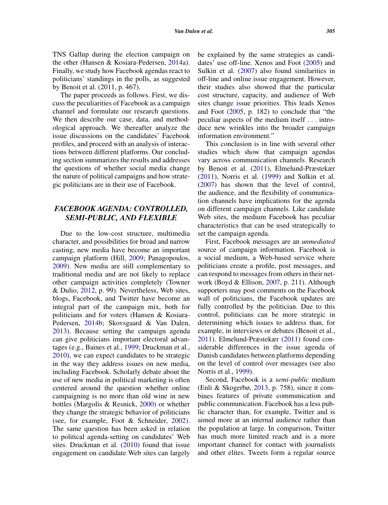TNS Gallup during the election campaign on the other (Hansen & Kosiara-Pedersen, [2014a\)](#page-21-12). Finally, we study how Facebook agendas react to politicians' standings in the polls, as suggested by Benoit et al. (2011, p. 467).

The paper proceeds as follows. First, we discuss the peculiarities of Facebook as a campaign channel and formulate our research questions. We then describe our case, data, and methodological approach. We thereafter analyze the issue discussions on the candidates' Facebook profiles, and proceed with an analysis of interactions between different platforms. Our concluding section summarizes the results and addresses the questions of whether social media change the nature of political campaigns and how strategic politicians are in their use of Facebook.

# *FACEBOOK AGENDA: CONTROLLED, SEMI-PUBLIC, AND FLEXIBLE*

Due to the low-cost structure, multimedia character, and possibilities for broad and narrow casting, new media have become an important campaign platform (Hill, [2009;](#page-21-13) Panagopoulos, [2009\)](#page-22-9). New media are still complementary to traditional media and are not likely to replace other campaign activities completely (Towner & Dulio, [2012,](#page-22-10) p. 99). Nevertheless, Web sites, blogs, Facebook, and Twitter have become an integral part of the campaign mix, both for politicians and for voters (Hansen & Kosiara-Pedersen, [2014b;](#page-21-14) Skovsgaard & Van Dalen, [2013\)](#page-22-6). Because setting the campaign agenda can give politicians important electoral advantages (e.g., Baines et al., [1999;](#page-20-4) Druckman et al., [2010\)](#page-20-2), we can expect candidates to be strategic in the way they address issues on new media, including Facebook. Scholarly debate about the use of new media in political marketing is often centered around the question whether online campaigning is no more than old wine in new bottles (Margolis & Resnick, [2000\)](#page-22-11) or whether they change the strategic behavior of politicians (see, for example, Foot & Schneider, [2002\)](#page-21-15). The same question has been asked in relation to political agenda-setting on candidates' Web sites. Druckman et al. [\(2010\)](#page-20-2) found that issue engagement on candidate Web sites can largely

be explained by the same strategies as candidates' use off-line. Xenos and Foot [\(2005\)](#page-22-5) and Sulkin et al. [\(2007\)](#page-22-4) also found similarities in off-line and online issue engagement. However, their studies also showed that the particular cost structure, capacity, and audience of Web sites change issue priorities. This leads Xenos and Foot [\(2005,](#page-22-5) p. 182) to conclude that "the peculiar aspects of the medium itself *...* introduce new wrinkles into the broader campaign information environment."

This conclusion is in line with several other studies which show that campaign agendas vary across communication channels. Research by Benoit et al. [\(2011\)](#page-20-3), Elmelund-Præstekær [\(2011\)](#page-21-10), Norris et al. [\(1999\)](#page-22-7) and Sulkin et al. [\(2007\)](#page-22-4) has shown that the level of control, the audience, and the flexibility of communication channels have implications for the agenda on different campaign channels. Like candidate Web sites, the medium Facebook has peculiar characteristics that can be used strategically to set the campaign agenda.

First, Facebook messages are an *unmediated* source of campaign information. Facebook is a social medium, a Web-based service where politicians create a profile, post messages, and can respond to messages from others in their network (Boyd & Ellison, [2007,](#page-20-5) p. 211). Although supporters may post comments on the Facebook wall of politicians, the Facebook updates are fully controlled by the politician. Due to this control, politicians can be more strategic in determining which issues to address than, for example, in interviews or debates (Benoit et al., [2011\)](#page-20-3). Elmelund-Præstekær [\(2011\)](#page-21-10) found considerable differences in the issue agenda of Danish candidates between platforms depending on the level of control over messages (see also Norris et al., [1999\)](#page-22-7).

Second, Facebook is a *semi-public* medium (Enli & Skogerbø, [2013,](#page-21-2) p. 758), since it combines features of private communication and public communication. Facebook has a less public character than, for example, Twitter and is aimed more at an internal audience rather than the population at large. In comparison, Twitter has much more limited reach and is a more important channel for contact with journalists and other elites. Tweets form a regular source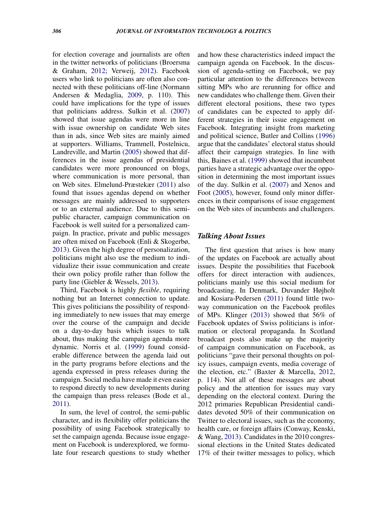for election coverage and journalists are often in the twitter networks of politicians (Broersma & Graham, [2012;](#page-20-6) Verweij, [2012\)](#page-22-12). Facebook users who link to politicians are often also connected with these politicians off-line (Normann Andersen & Medaglia, [2009,](#page-22-1) p. 110). This could have implications for the type of issues that politicians address. Sulkin et al. [\(2007\)](#page-22-4) showed that issue agendas were more in line with issue ownership on candidate Web sites than in ads, since Web sites are mainly aimed at supporters. Williams, Trammell, Postelnicu, Landreville, and Martin [\(2005\)](#page-22-13) showed that differences in the issue agendas of presidential candidates were more pronounced on blogs, where communication is more personal, than on Web sites. Elmelund-Præstekær [\(2011\)](#page-21-10) also found that issues agendas depend on whether messages are mainly addressed to supporters or to an external audience. Due to this semipublic character, campaign communication on Facebook is well suited for a personalized campaign. In practice, private and public messages are often mixed on Facebook (Enli & Skogerbø, [2013\)](#page-21-2). Given the high degree of personalization, politicians might also use the medium to individualize their issue communication and create their own policy profile rather than follow the party line (Giebler & Wessels, [2013\)](#page-21-16).

Third, Facebook is highly *flexible*, requiring nothing but an Internet connection to update. This gives politicians the possibility of responding immediately to new issues that may emerge over the course of the campaign and decide on a day-to-day basis which issues to talk about, thus making the campaign agenda more dynamic. Norris et al. [\(1999\)](#page-22-7) found considerable difference between the agenda laid out in the party programs before elections and the agenda expressed in press releases during the campaign. Social media have made it even easier to respond directly to new developments during the campaign than press releases (Bode et al., [2011\)](#page-20-7).

In sum, the level of control, the semi-public character, and its flexibility offer politicians the possibility of using Facebook strategically to set the campaign agenda. Because issue engagement on Facebook is underexplored, we formulate four research questions to study whether and how these characteristics indeed impact the campaign agenda on Facebook. In the discussion of agenda-setting on Facebook, we pay particular attention to the differences between sitting MPs who are rerunning for office and new candidates who challenge them. Given their different electoral positions, these two types of candidates can be expected to apply different strategies in their issue engagement on Facebook. Integrating insight from marketing and political science, Butler and Collins [\(1996\)](#page-20-8) argue that the candidates' electoral status should affect their campaign strategies. In line with this, Baines et al. [\(1999\)](#page-20-4) showed that incumbent parties have a strategic advantage over the opposition in determining the most important issues of the day. Sulkin et al. [\(2007\)](#page-22-4) and Xenos and Foot [\(2005\)](#page-22-5), however, found only minor differences in their comparisons of issue engagement on the Web sites of incumbents and challengers.

#### *Talking About Issues*

The first question that arises is how many of the updates on Facebook are actually about issues. Despite the possibilities that Facebook offers for direct interaction with audiences, politicians mainly use this social medium for broadcasting. In Denmark, Duvander Højholt and Kosiara-Pedersen [\(2011\)](#page-20-9) found little twoway communication on the Facebook profiles of MPs. Klinger [\(2013\)](#page-21-5) showed that 56% of Facebook updates of Swiss politicians is information or electoral propaganda. In Scotland broadcast posts also make up the majority of campaign communication on Facebook, as politicians "gave their personal thoughts on policy issues, campaign events, media coverage of the election, etc." (Baxter & Marcella, [2012,](#page-20-0) p. 114). Not all of these messages are about policy and the attention for issues may vary depending on the electoral context. During the 2012 primaries Republican Presidential candidates devoted 50% of their communication on Twitter to electoral issues, such as the economy, health care, or foreign affairs (Conway, Kenski, & Wang, [2013\)](#page-20-10). Candidates in the 2010 congressional elections in the United States dedicated 17% of their twitter messages to policy, which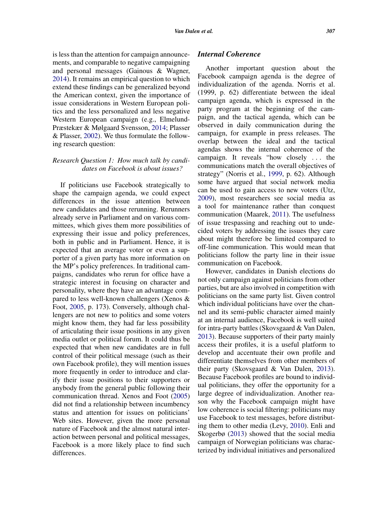is less than the attention for campaign announcements, and comparable to negative campaigning and personal messages (Gainous & Wagner, [2014\)](#page-21-17). It remains an empirical question to which extend these findings can be generalized beyond the American context, given the importance of issue considerations in Western European politics and the less personalized and less negative Western European campaign (e.g., Elmelund-Præstekær & Mølgaard Svensson, [2014;](#page-21-18) Plasser & Plasser, [2002\)](#page-22-14). We thus formulate the following research question:

# *Research Question 1: How much talk by candidates on Facebook is about issues?*

If politicians use Facebook strategically to shape the campaign agenda, we could expect differences in the issue attention between new candidates and those rerunning. Rerunners already serve in Parliament and on various committees, which gives them more possibilities of expressing their issue and policy preferences, both in public and in Parliament. Hence, it is expected that an average voter or even a supporter of a given party has more information on the MP's policy preferences. In traditional campaigns, candidates who rerun for office have a strategic interest in focusing on character and personality, where they have an advantage compared to less well-known challengers (Xenos & Foot, [2005,](#page-22-5) p. 173). Conversely, although challengers are not new to politics and some voters might know them, they had far less possibility of articulating their issue positions in any given media outlet or political forum. It could thus be expected that when new candidates are in full control of their political message (such as their own Facebook profile), they will mention issues more frequently in order to introduce and clarify their issue positions to their supporters or anybody from the general public following their communication thread. Xenos and Foot [\(2005\)](#page-22-5) did not find a relationship between incumbency status and attention for issues on politicians' Web sites. However, given the more personal nature of Facebook and the almost natural interaction between personal and political messages, Facebook is a more likely place to find such differences.

# *Internal Coherence*

Another important question about the Facebook campaign agenda is the degree of individualization of the agenda. Norris et al. (1999, p. 62) differentiate between the ideal campaign agenda, which is expressed in the party program at the beginning of the campaign, and the tactical agenda, which can be observed in daily communication during the campaign, for example in press releases. The overlap between the ideal and the tactical agendas shows the internal coherence of the campaign. It reveals "how closely *...* the communications match the overall objectives of strategy" (Norris et al., [1999,](#page-22-7) p. 62). Although some have argued that social network media can be used to gain access to new voters (Utz, [2009\)](#page-22-15), most researchers see social media as a tool for maintenance rather than conquest communication (Maarek, [2011\)](#page-22-16). The usefulness of issue trespassing and reaching out to undecided voters by addressing the issues they care about might therefore be limited compared to off-line communication. This would mean that politicians follow the party line in their issue communication on Facebook.

However, candidates in Danish elections do not only campaign against politicians from other parties, but are also involved in competition with politicians on the same party list. Given control which individual politicians have over the channel and its semi-public character aimed mainly at an internal audience, Facebook is well suited for intra-party battles (Skovsgaard & Van Dalen, [2013\)](#page-22-6). Because supporters of their party mainly access their profiles, it is a useful platform to develop and accentuate their own profile and differentiate themselves from other members of their party (Skovsgaard & Van Dalen, [2013\)](#page-22-6). Because Facebook profiles are bound to individual politicians, they offer the opportunity for a large degree of individualization. Another reason why the Facebook campaign might have low coherence is social filtering: politicians may use Facebook to test messages, before distributing them to other media (Levy, [2010\)](#page-22-17). Enli and Skogerbø [\(2013\)](#page-21-2) showed that the social media campaign of Norwegian politicians was characterized by individual initiatives and personalized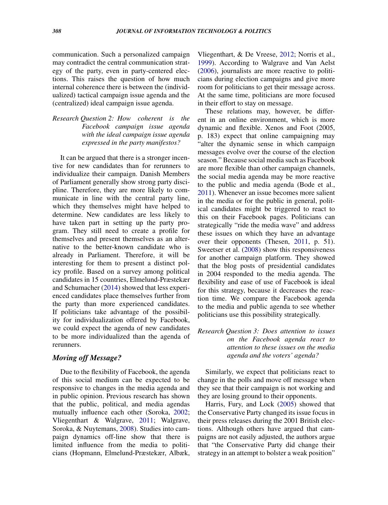communication. Such a personalized campaign may contradict the central communication strategy of the party, even in party-centered elections. This raises the question of how much internal coherence there is between the (individualized) tactical campaign issue agenda and the (centralized) ideal campaign issue agenda.

# *Research Question 2: How coherent is the Facebook campaign issue agenda with the ideal campaign issue agenda expressed in the party manifestos?*

It can be argued that there is a stronger incentive for new candidates than for rerunners to individualize their campaign. Danish Members of Parliament generally show strong party discipline. Therefore, they are more likely to communicate in line with the central party line, which they themselves might have helped to determine. New candidates are less likely to have taken part in setting up the party program. They still need to create a profile for themselves and present themselves as an alternative to the better-known candidate who is already in Parliament. Therefore, it will be interesting for them to present a distinct policy profile. Based on a survey among political candidates in 15 countries, Elmelund-Præstekær and Schumacher [\(2014\)](#page-21-19) showed that less experienced candidates place themselves further from the party than more experienced candidates. If politicians take advantage of the possibility for individualization offered by Facebook, we could expect the agenda of new candidates to be more individualized than the agenda of rerunners.

#### *Moving off Message?*

Due to the flexibility of Facebook, the agenda of this social medium can be expected to be responsive to changes in the media agenda and in public opinion. Previous research has shown that the public, political, and media agendas mutually influence each other (Soroka, [2002;](#page-22-18) Vliegenthart & Walgrave, [2011;](#page-22-19) Walgrave, Soroka, & Nuytemans, [2008\)](#page-22-20). Studies into campaign dynamics off-line show that there is limited influence from the media to politicians (Hopmann, Elmelund-Præstekær, Albæk, Vliegenthart, & De Vreese, [2012;](#page-21-20) Norris et al., [1999\)](#page-22-7). According to Walgrave and Van Aelst [\(2006\)](#page-22-21), journalists are more reactive to politicians during election campaigns and give more room for politicians to get their message across. At the same time, politicians are more focused in their effort to stay on message.

These relations may, however, be different in an online environment, which is more dynamic and flexible. Xenos and Foot (2005, p. 183) expect that online campaigning may "alter the dynamic sense in which campaign messages evolve over the course of the election season." Because social media such as Facebook are more flexible than other campaign channels, the social media agenda may be more reactive to the public and media agenda (Bode et al., [2011\)](#page-20-7). Whenever an issue becomes more salient in the media or for the public in general, political candidates might be triggered to react to this on their Facebook pages. Politicians can strategically "ride the media wave" and address these issues on which they have an advantage over their opponents (Thesen, [2011,](#page-22-22) p. 51). Sweetser et al. [\(2008\)](#page-22-8) show this responsiveness for another campaign platform. They showed that the blog posts of presidential candidates in 2004 responded to the media agenda. The flexibility and ease of use of Facebook is ideal for this strategy, because it decreases the reaction time. We compare the Facebook agenda to the media and public agenda to see whether politicians use this possibility strategically.

*Research Question 3: Does attention to issues on the Facebook agenda react to attention to these issues on the media agenda and the voters' agenda?*

Similarly, we expect that politicians react to change in the polls and move off message when they see that their campaign is not working and they are losing ground to their opponents.

Harris, Fury, and Lock [\(2005\)](#page-21-21) showed that the Conservative Party changed its issue focus in their press releases during the 2001 British elections. Although others have argued that campaigns are not easily adjusted, the authors argue that "the Conservative Party did change their strategy in an attempt to bolster a weak position"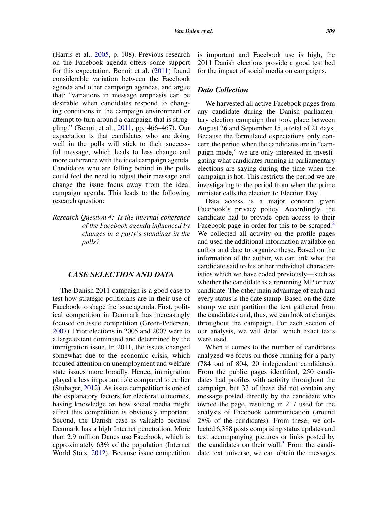(Harris et al., [2005,](#page-21-21) p. 108). Previous research on the Facebook agenda offers some support for this expectation. Benoit et al. [\(2011\)](#page-20-3) found considerable variation between the Facebook agenda and other campaign agendas, and argue that: "variations in message emphasis can be desirable when candidates respond to changing conditions in the campaign environment or attempt to turn around a campaign that is struggling." (Benoit et al., [2011,](#page-20-3) pp. 466–467). Our expectation is that candidates who are doing well in the polls will stick to their successful message, which leads to less change and more coherence with the ideal campaign agenda. Candidates who are falling behind in the polls could feel the need to adjust their message and change the issue focus away from the ideal campaign agenda. This leads to the following research question:

*Research Question 4: Is the internal coherence of the Facebook agenda influenced by changes in a party's standings in the polls?*

#### *CASE SELECTION AND DATA*

The Danish 2011 campaign is a good case to test how strategic politicians are in their use of Facebook to shape the issue agenda. First, political competition in Denmark has increasingly focused on issue competition (Green-Pedersen, [2007\)](#page-21-8). Prior elections in 2005 and 2007 were to a large extent dominated and determined by the immigration issue. In 2011, the issues changed somewhat due to the economic crisis, which focused attention on unemployment and welfare state issues more broadly. Hence, immigration played a less important role compared to earlier (Stubager, [2012\)](#page-22-23). As issue competition is one of the explanatory factors for electoral outcomes, having knowledge on how social media might affect this competition is obviously important. Second, the Danish case is valuable because Denmark has a high Internet penetration. More than 2.9 million Danes use Facebook, which is approximately 63% of the population (Internet World Stats, [2012\)](#page-21-22). Because issue competition

is important and Facebook use is high, the 2011 Danish elections provide a good test bed for the impact of social media on campaigns.

#### *Data Collection*

We harvested all active Facebook pages from any candidate during the Danish parliamentary election campaign that took place between August 26 and September 15, a total of 21 days. Because the formulated expectations only concern the period when the candidates are in "campaign mode," we are only interested in investigating what candidates running in parliamentary elections are saying during the time when the campaign is hot. This restricts the period we are investigating to the period from when the prime minister calls the election to Election Day.

Data access is a major concern given Facebook's privacy policy. Accordingly, the candidate had to provide open access to their Facebook page in order for this to be scraped.<sup>[2](#page-19-1)</sup> We collected all activity on the profile pages and used the additional information available on author and date to organize these. Based on the information of the author, we can link what the candidate said to his or her individual characteristics which we have coded previously—such as whether the candidate is a rerunning MP or new candidate. The other main advantage of each and every status is the date stamp. Based on the date stamp we can partition the text gathered from the candidates and, thus, we can look at changes throughout the campaign. For each section of our analysis, we will detail which exact texts were used.

When it comes to the number of candidates analyzed we focus on those running for a party (784 out of 804, 20 independent candidates). From the public pages identified, 250 candidates had profiles with activity throughout the campaign, but 33 of these did not contain any message posted directly by the candidate who owned the page, resulting in 217 used for the analysis of Facebook communication (around 28% of the candidates). From these, we collected 6,388 posts comprising status updates and text accompanying pictures or links posted by the candidates on their wall.<sup>[3](#page-19-2)</sup> From the candidate text universe, we can obtain the messages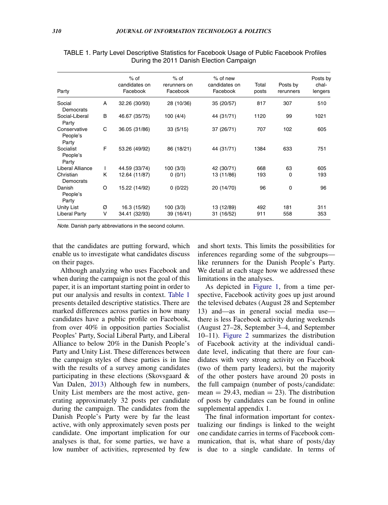| Party                             |              | $%$ of<br>candidates on<br>Facebook | $%$ of<br>rerunners on<br>Facebook | $%$ of new<br>candidates on<br>Facebook | Total<br>posts | Posts by<br>rerunners | Posts by<br>chal-<br>lengers |
|-----------------------------------|--------------|-------------------------------------|------------------------------------|-----------------------------------------|----------------|-----------------------|------------------------------|
| Social<br>Democrats               | A            | 32.26 (30/93)                       | 28 (10/36)                         | 35 (20/57)                              | 817            | 307                   | 510                          |
| Social-Liberal<br>Party           | B            | 46.67 (35/75)                       | 100 (4/4)                          | 44 (31/71)                              | 1120           | 99                    | 1021                         |
| Conservative<br>People's<br>Party | C            | 36.05 (31/86)                       | 33(5/15)                           | 37 (26/71)                              | 707            | 102                   | 605                          |
| Socialist<br>People's<br>Party    | F            | 53.26 (49/92)                       | 86 (18/21)                         | 44 (31/71)                              | 1384           | 633                   | 751                          |
| Liberal Alliance                  | $\mathbf{I}$ | 44.59 (33/74)                       | 100 (3/3)                          | 42 (30/71)                              | 668            | 63                    | 605                          |
| Christian<br>Democrats            | K            | 12.64 (11/87)                       | 0(0/1)                             | 13 (11/86)                              | 193            | 0                     | 193                          |
| Danish<br>People's<br>Party       | O            | 15.22 (14/92)                       | 0(0/22)                            | 20 (14/70)                              | 96             | 0                     | 96                           |
| Unity List                        | Ø            | 16.3 (15/92)                        | 100 (3/3)                          | 13 (12/89)                              | 492            | 181                   | 311                          |
| <b>Liberal Party</b>              | $\vee$       | 34.41 (32/93)                       | 39 (16/41)                         | 31 (16/52)                              | 911            | 558                   | 353                          |

TABLE 1. Party Level Descriptive Statistics for Facebook Usage of Public Facebook Profiles During the 2011 Danish Election Campaign

*Note.* Danish party abbreviations in the second column.

that the candidates are putting forward, which enable us to investigate what candidates discuss on their pages.

Although analyzing who uses Facebook and when during the campaign is not the goal of this paper, it is an important starting point in order to put our analysis and results in context. [Table 1](#page-8-0) presents detailed descriptive statistics. There are marked differences across parties in how many candidates have a public profile on Facebook, from over 40% in opposition parties Socialist Peoples' Party, Social Liberal Party, and Liberal Alliance to below 20% in the Danish People's Party and Unity List. These differences between the campaign styles of these parties is in line with the results of a survey among candidates participating in these elections (Skovsgaard & Van Dalen, [2013\)](#page-22-6) Although few in numbers, Unity List members are the most active, generating approximately 32 posts per candidate during the campaign. The candidates from the Danish People's Party were by far the least active, with only approximately seven posts per candidate. One important implication for our analyses is that, for some parties, we have a low number of activities, represented by few

<span id="page-8-0"></span>and short texts. This limits the possibilities for inferences regarding some of the subgroups like rerunners for the Danish People's Party. We detail at each stage how we addressed these limitations in the analyses.

As depicted in [Figure 1,](#page-9-0) from a time perspective, Facebook activity goes up just around the televised debates (August 28 and September 13) and—as in general social media use there is less Facebook activity during weekends (August 27–28, September 3–4, and September 10–11). [Figure 2](#page-9-1) summarizes the distribution of Facebook activity at the individual candidate level, indicating that there are four candidates with very strong activity on Facebook (two of them party leaders), but the majority of the other posters have around 20 posts in the full campaign (number of posts*/*candidate:  $mean = 29.43$ , median = 23). The distribution of posts by candidates can be found in online supplemental appendix 1.

The final information important for contextualizing our findings is linked to the weight one candidate carries in terms of Facebook communication, that is, what share of posts*/*day is due to a single candidate. In terms of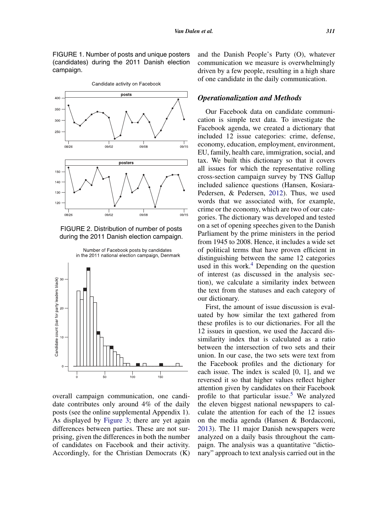FIGURE 1. Number of posts and unique posters (candidates) during the 2011 Danish election campaign.

<span id="page-9-0"></span>

FIGURE 2. Distribution of number of posts during the 2011 Danish election campaign.

<span id="page-9-1"></span>

overall campaign communication, one candidate contributes only around 4% of the daily posts (see the online supplemental Appendix 1). As displayed by [Figure 3;](#page-10-0) there are yet again differences between parties. These are not surprising, given the differences in both the number of candidates on Facebook and their activity. Accordingly, for the Christian Democrats (K)

and the Danish People's Party (O), whatever communication we measure is overwhelmingly driven by a few people, resulting in a high share of one candidate in the daily communication.

# *Operationalization and Methods*

Our Facebook data on candidate communication is simple text data. To investigate the Facebook agenda, we created a dictionary that included 12 issue categories: crime, defense, economy, education, employment, environment, EU, family, health care, immigration, social, and tax. We built this dictionary so that it covers all issues for which the representative rolling cross-section campaign survey by TNS Gallup included salience questions (Hansen, Kosiara-Pedersen, & Pedersen, [2012\)](#page-21-13). Thus, we used words that we associated with, for example, crime or the economy, which are two of our categories. The dictionary was developed and tested on a set of opening speeches given to the Danish Parliament by the prime ministers in the period from 1945 to 2008. Hence, it includes a wide set of political terms that have proven efficient in distinguishing between the same 12 categories used in this work. $4$  Depending on the question of interest (as discussed in the analysis section), we calculate a similarity index between the text from the statuses and each category of our dictionary.

First, the amount of issue discussion is evaluated by how similar the text gathered from these profiles is to our dictionaries. For all the 12 issues in question, we used the Jaccard dissimilarity index that is calculated as a ratio between the intersection of two sets and their union. In our case, the two sets were text from the Facebook profiles and the dictionary for each issue. The index is scaled [0, 1], and we reversed it so that higher values reflect higher attention given by candidates on their Facebook profile to that particular issue.<sup>5</sup> We analyzed the eleven biggest national newspapers to calculate the attention for each of the 12 issues on the media agenda (Hansen & Bordacconi, [2013\)](#page-21-11). The 11 major Danish newspapers were analyzed on a daily basis throughout the campaign. The analysis was a quantitative "dictionary" approach to text analysis carried out in the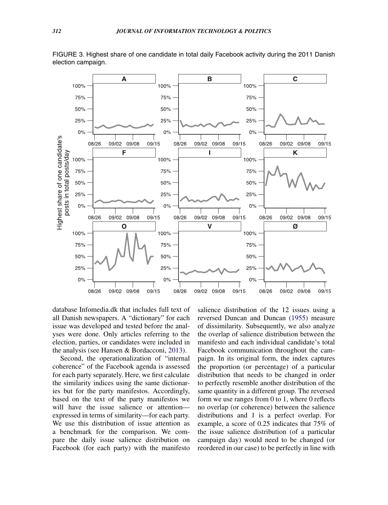<span id="page-10-0"></span>

FIGURE 3. Highest share of one candidate in total daily Facebook activity during the 2011 Danish election campaign.

database Infomedia.dk that includes full text of all Danish newspapers. A "dictionary" for each issue was developed and tested before the analyses were done. Only articles referring to the election, parties, or candidates were included in the analysis (see Hansen & Bordacconi, [2013\)](#page-21-11).

Second, the operationalization of "internal coherence" of the Facebook agenda is assessed for each party separately. Here, we first calculate the similarity indices using the same dictionaries but for the party manifestos. Accordingly, based on the text of the party manifestos we will have the issue salience or attention expressed in terms of similarity—for each party. We use this distribution of issue attention as a benchmark for the comparison. We compare the daily issue salience distribution on Facebook (for each party) with the manifesto salience distribution of the 12 issues using a reversed Duncan and Duncan [\(1955\)](#page-20-12) measure of dissimilarity. Subsequently, we also analyze the overlap of salience distribution between the manifesto and each individual candidate's total Facebook communication throughout the campaign. In its original form, the index captures the proportion (or percentage) of a particular distribution that needs to be changed in order to perfectly resemble another distribution of the same quantity in a different group. The reversed form we use ranges from 0 to 1, where 0 reflects no overlap (or coherence) between the salience distributions and 1 is a perfect overlap. For example, a score of 0.25 indicates that 75% of the issue salience distribution (of a particular campaign day) would need to be changed (or reordered in our case) to be perfectly in line with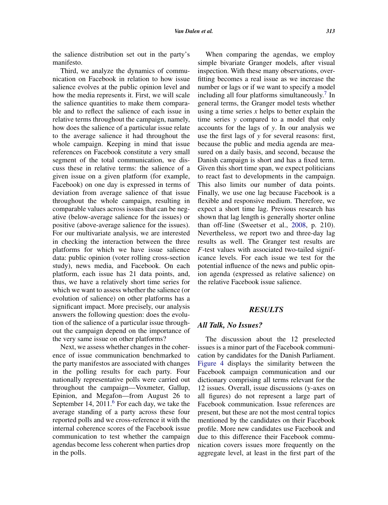the salience distribution set out in the party's manifesto.

Third, we analyze the dynamics of communication on Facebook in relation to how issue salience evolves at the public opinion level and how the media represents it. First, we will scale the salience quantities to make them comparable and to reflect the salience of each issue in relative terms throughout the campaign, namely, how does the salience of a particular issue relate to the average salience it had throughout the whole campaign. Keeping in mind that issue references on Facebook constitute a very small segment of the total communication, we discuss these in relative terms: the salience of a given issue on a given platform (for example, Facebook) on one day is expressed in terms of deviation from average salience of that issue throughout the whole campaign, resulting in comparable values across issues that can be negative (below-average salience for the issues) or positive (above-average salience for the issues). For our multivariate analysis, we are interested in checking the interaction between the three platforms for which we have issue salience data: public opinion (voter rolling cross-section study), news media, and Facebook. On each platform, each issue has 21 data points, and, thus, we have a relatively short time series for which we want to assess whether the salience (or evolution of salience) on other platforms has a significant impact. More precisely, our analysis answers the following question: does the evolution of the salience of a particular issue throughout the campaign depend on the importance of the very same issue on other platforms?

Next, we assess whether changes in the coherence of issue communication benchmarked to the party manifestos are associated with changes in the polling results for each party. Four nationally representative polls were carried out throughout the campaign—Voxmeter, Gallup, Epinion, and Megafon—from August 26 to September 14,  $2011<sup>6</sup>$  $2011<sup>6</sup>$  $2011<sup>6</sup>$  For each day, we take the average standing of a party across these four reported polls and we cross-reference it with the internal coherence scores of the Facebook issue communication to test whether the campaign agendas become less coherent when parties drop in the polls.

When comparing the agendas, we employ simple bivariate Granger models, after visual inspection. With these many observations, overfitting becomes a real issue as we increase the number or lags or if we want to specify a model including all four platforms simultaneously.<sup>[7](#page-20-14)</sup> In general terms, the Granger model tests whether using a time series *x* helps to better explain the time series *y* compared to a model that only accounts for the lags of *y*. In our analysis we use the first lags of *y* for several reasons: first, because the public and media agenda are measured on a daily basis, and second, because the Danish campaign is short and has a fixed term. Given this short time span, we expect politicians to react fast to developments in the campaign. This also limits our number of data points. Finally, we use one lag because Facebook is a flexible and responsive medium. Therefore, we expect a short time lag. Previous research has shown that lag length is generally shorter online than off-line (Sweetser et al., [2008,](#page-22-8) p. 210). Nevertheless, we report two and three-day lag results as well. The Granger test results are *F*-test values with associated two-tailed significance levels. For each issue we test for the potential influence of the news and public opinion agenda (expressed as relative salience) on the relative Facebook issue salience.

### *RESULTS*

#### *All Talk, No Issues?*

The discussion about the 12 preselected issues is a minor part of the Facebook communication by candidates for the Danish Parliament. [Figure 4](#page-12-0) displays the similarity between the Facebook campaign communication and our dictionary comprising all terms relevant for the 12 issues. Overall, issue discussions (y-axes on all figures) do not represent a large part of Facebook communication. Issue references are present, but these are not the most central topics mentioned by the candidates on their Facebook profile. More new candidates use Facebook and due to this difference their Facebook communication covers issues more frequently on the aggregate level, at least in the first part of the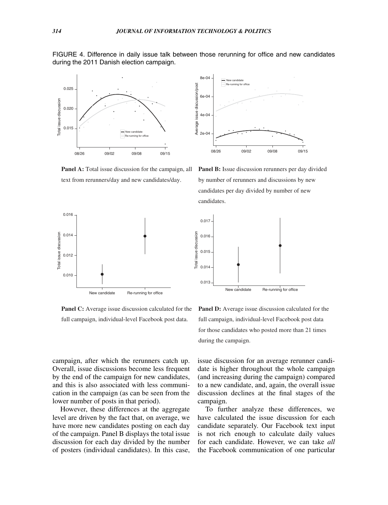<span id="page-12-0"></span>

FIGURE 4. Difference in daily issue talk between those rerunning for office and new candidates during the 2011 Danish election campaign.

**Panel A:** Total issue discussion for the campaign, all text from rerunners/day and new candidates/day.



**Panel B:** Issue discussion rerunners per day divided by number of rerunners and discussions by new candidates per day divided by number of new candidates.



**Panel C:** Average issue discussion calculated for the full campaign, individual-level Facebook post data.

**Panel D:** Average issue discussion calculated for the full campaign, individual-level Facebook post data for those candidates who posted more than 21 times during the campaign.

campaign, after which the rerunners catch up. Overall, issue discussions become less frequent by the end of the campaign for new candidates, and this is also associated with less communication in the campaign (as can be seen from the lower number of posts in that period).

However, these differences at the aggregate level are driven by the fact that, on average, we have more new candidates posting on each day of the campaign. Panel B displays the total issue discussion for each day divided by the number of posters (individual candidates). In this case,

issue discussion for an average rerunner candidate is higher throughout the whole campaign (and increasing during the campaign) compared to a new candidate, and, again, the overall issue discussion declines at the final stages of the campaign.

To further analyze these differences, we have calculated the issue discussion for each candidate separately. Our Facebook text input is not rich enough to calculate daily values for each candidate. However, we can take *all* the Facebook communication of one particular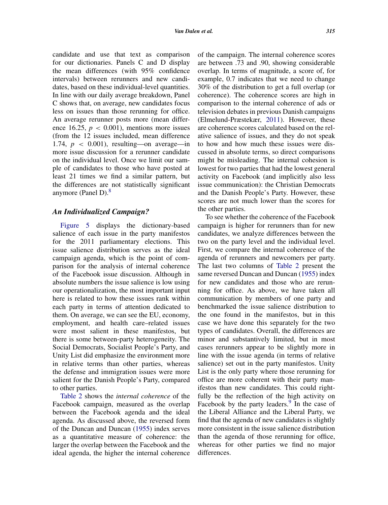candidate and use that text as comparison for our dictionaries. Panels C and D display the mean differences (with 95% confidence intervals) between rerunners and new candidates, based on these individual-level quantities. In line with our daily average breakdown, Panel C shows that, on average, new candidates focus less on issues than those rerunning for office. An average rerunner posts more (mean difference 16.25,  $p < 0.001$ ), mentions more issues (from the 12 issues included, mean difference 1.74,  $p \, < 0.001$ ), resulting—on average—in more issue discussion for a rerunner candidate on the individual level. Once we limit our sample of candidates to those who have posted at least 21 times we find a similar pattern, but the differences are not statistically significant anymore (Panel D). $8$ 

### *An Individualized Campaign?*

[Figure 5](#page-14-0) displays the dictionary-based salience of each issue in the party manifestos for the 2011 parliamentary elections. This issue salience distribution serves as the ideal campaign agenda, which is the point of comparison for the analysis of internal coherence of the Facebook issue discussion. Although in absolute numbers the issue salience is low using our operationalization, the most important input here is related to how these issues rank within each party in terms of attention dedicated to them. On average, we can see the EU, economy, employment, and health care–related issues were most salient in these manifestos, but there is some between-party heterogeneity. The Social Democrats, Socialist People's Party, and Unity List did emphasize the environment more in relative terms than other parties, whereas the defense and immigration issues were more salient for the Danish People's Party, compared to other parties.

[Table 2](#page-14-1) shows the *internal coherence* of the Facebook campaign, measured as the overlap between the Facebook agenda and the ideal agenda. As discussed above, the reversed form of the Duncan and Duncan [\(1955\)](#page-20-12) index serves as a quantitative measure of coherence: the larger the overlap between the Facebook and the ideal agenda, the higher the internal coherence of the campaign. The internal coherence scores are between .73 and .90, showing considerable overlap. In terms of magnitude, a score of, for example, 0.7 indicates that we need to change 30% of the distribution to get a full overlap (or coherence). The coherence scores are high in comparison to the internal coherence of ads or television debates in previous Danish campaigns (Elmelund-Præstekær, [2011\)](#page-21-10). However, these are coherence scores calculated based on the relative salience of issues, and they do not speak to how and how much these issues were discussed in absolute terms, so direct comparisons might be misleading. The internal cohesion is lowest for two parties that had the lowest general activity on Facebook (and implicitly also less issue communication): the Christian Democrats and the Danish People's Party. However, these scores are not much lower than the scores for the other parties.

To see whether the coherence of the Facebook campaign is higher for rerunners than for new candidates, we analyze differences between the two on the party level and the individual level. First, we compare the internal coherence of the agenda of rerunners and newcomers per party. The last two columns of [Table 2](#page-14-1) present the same reversed Duncan and Duncan [\(1955\)](#page-20-12) index for new candidates and those who are rerunning for office. As above, we have taken all communication by members of one party and benchmarked the issue salience distribution to the one found in the manifestos, but in this case we have done this separately for the two types of candidates. Overall, the differences are minor and substantively limited, but in most cases rerunners appear to be slightly more in line with the issue agenda (in terms of relative salience) set out in the party manifestos. Unity List is the only party where those rerunning for office are more coherent with their party manifestos than new candidates. This could rightfully be the reflection of the high activity on Facebook by the party leaders. $9$  In the case of the Liberal Alliance and the Liberal Party, we find that the agenda of new candidates is slightly more consistent in the issue salience distribution than the agenda of those rerunning for office, whereas for other parties we find no major differences.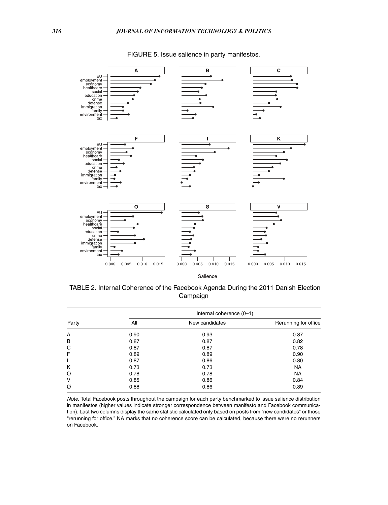<span id="page-14-0"></span>

FIGURE 5. Issue salience in party manifestos.

<span id="page-14-1"></span>Salience

| TABLE 2. Internal Coherence of the Facebook Agenda During the 2011 Danish Election |  |
|------------------------------------------------------------------------------------|--|
| Campaign                                                                           |  |

|       | Internal coherence (0-1) |                |                      |  |  |
|-------|--------------------------|----------------|----------------------|--|--|
| Party | All                      | New candidates | Rerunning for office |  |  |
| A     | 0.90                     | 0.93           | 0.87                 |  |  |
| B     | 0.87                     | 0.87           | 0.82                 |  |  |
| C     | 0.87                     | 0.87           | 0.78                 |  |  |
| F     | 0.89                     | 0.89           | 0.90                 |  |  |
| T     | 0.87                     | 0.86           | 0.80                 |  |  |
| K     | 0.73                     | 0.73           | <b>NA</b>            |  |  |
| O     | 0.78                     | 0.78           | <b>NA</b>            |  |  |
| v     | 0.85                     | 0.86           | 0.84                 |  |  |
| Ø     | 0.88                     | 0.86           | 0.89                 |  |  |

*Note.* Total Facebook posts throughout the campaign for each party benchmarked to issue salience distribution in manifestos (higher values indicate stronger correspondence between manifesto and Facebook communication). Last two columns display the same statistic calculated only based on posts from "new candidates" or those "rerunning for office." NA marks that no coherence score can be calculated, because there were no rerunners on Facebook.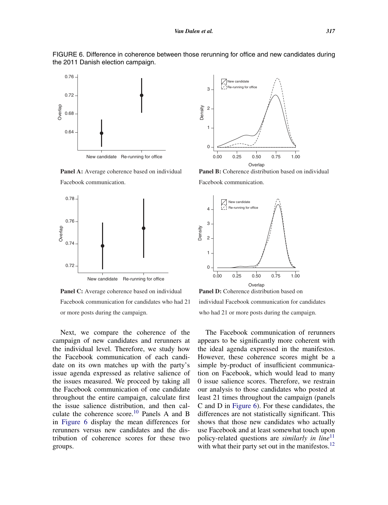

<span id="page-15-0"></span>

**Panel A:** Average coherence based on individual Facebook communication.



**Panel C:** Average coherence based on individual Facebook communication for candidates who had 21 or more posts during the campaign.

Next, we compare the coherence of the campaign of new candidates and rerunners at the individual level. Therefore, we study how the Facebook communication of each candidate on its own matches up with the party's issue agenda expressed as relative salience of the issues measured. We proceed by taking all the Facebook communication of one candidate throughout the entire campaign, calculate first the issue salience distribution, and then cal-culate the coherence score.<sup>[10](#page-20-17)</sup> Panels A and B in [Figure 6](#page-15-0) display the mean differences for rerunners versus new candidates and the distribution of coherence scores for these two groups.



**Panel B:** Coherence distribution based on individual Facebook communication.



individual Facebook communication for candidates who had 21 or more posts during the campaign.

The Facebook communication of rerunners appears to be significantly more coherent with the ideal agenda expressed in the manifestos. However, these coherence scores might be a simple by-product of insufficient communication on Facebook, which would lead to many 0 issue salience scores. Therefore, we restrain our analysis to those candidates who posted at least 21 times throughout the campaign (panels C and D in [Figure 6\)](#page-15-0). For these candidates, the differences are not statistically significant. This shows that those new candidates who actually use Facebook and at least somewhat touch upon policy-related questions are *similarly in line*[11](#page-20-18) with what their party set out in the manifestos.<sup>12</sup>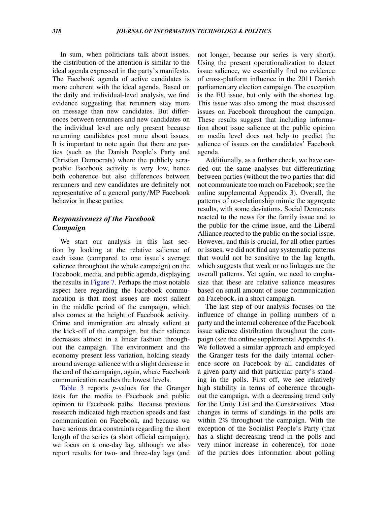In sum, when politicians talk about issues, the distribution of the attention is similar to the ideal agenda expressed in the party's manifesto. The Facebook agenda of active candidates is more coherent with the ideal agenda. Based on the daily and individual-level analysis, we find evidence suggesting that rerunners stay more on message than new candidates. But differences between rerunners and new candidates on the individual level are only present because rerunning candidates post more about issues. It is important to note again that there are parties (such as the Danish People's Party and Christian Democrats) where the publicly scrapeable Facebook activity is very low, hence both coherence but also differences between rerunners and new candidates are definitely not representative of a general party*/*MP Facebook behavior in these parties.

# *Responsiveness of the Facebook Campaign*

We start our analysis in this last section by looking at the relative salience of each issue (compared to one issue's average salience throughout the whole campaign) on the Facebook, media, and public agenda, displaying the results in [Figure 7.](#page-17-0) Perhaps the most notable aspect here regarding the Facebook communication is that most issues are most salient in the middle period of the campaign, which also comes at the height of Facebook activity. Crime and immigration are already salient at the kick-off of the campaign, but their salience decreases almost in a linear fashion throughout the campaign. The environment and the economy present less variation, holding steady around average salience with a slight decrease in the end of the campaign, again, where Facebook communication reaches the lowest levels.

[Table 3](#page-18-0) reports *p-*values for the Granger tests for the media to Facebook and public opinion to Facebook paths. Because previous research indicated high reaction speeds and fast communication on Facebook, and because we have serious data constraints regarding the short length of the series (a short official campaign), we focus on a one-day lag, although we also report results for two- and three-day lags (and

not longer, because our series is very short). Using the present operationalization to detect issue salience, we essentially find no evidence of cross-platform influence in the 2011 Danish parliamentary election campaign. The exception is the EU issue, but only with the shortest lag. This issue was also among the most discussed issues on Facebook throughout the campaign. These results suggest that including information about issue salience at the public opinion or media level does not help to predict the salience of issues on the candidates' Facebook agenda.

Additionally, as a further check, we have carried out the same analyses but differentiating between parties (without the two parties that did not communicate too much on Facebook; see the online supplemental Appendix 3). Overall, the patterns of no-relationship mimic the aggregate results, with some deviations. Social Democrats reacted to the news for the family issue and to the public for the crime issue, and the Liberal Alliance reacted to the public on the social issue. However, and this is crucial, for all other parties or issues, we did not find any systematic patterns that would not be sensitive to the lag length, which suggests that weak or no linkages are the overall patterns. Yet again, we need to emphasize that these are relative salience measures based on small amount of issue communication on Facebook, in a short campaign.

The last step of our analysis focuses on the influence of change in polling numbers of a party and the internal coherence of the Facebook issue salience distribution throughout the campaign (see the online supplemental Appendix 4). We followed a similar approach and employed the Granger tests for the daily internal coherence score on Facebook by all candidates of a given party and that particular party's standing in the polls. First off, we see relatively high stability in terms of coherence throughout the campaign, with a decreasing trend only for the Unity List and the Conservatives. Most changes in terms of standings in the polls are within 2% throughout the campaign. With the exception of the Socialist People's Party (that has a slight decreasing trend in the polls and very minor increase in coherence), for none of the parties does information about polling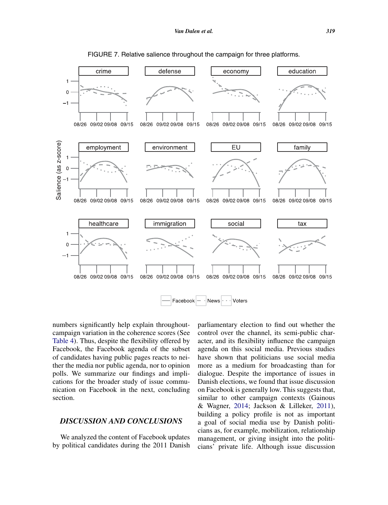<span id="page-17-0"></span>

FIGURE 7. Relative salience throughout the campaign for three platforms.

numbers significantly help explain throughoutcampaign variation in the coherence scores (See [Table 4\)](#page-18-1). Thus, despite the flexibility offered by Facebook, the Facebook agenda of the subset of candidates having public pages reacts to neither the media nor public agenda, nor to opinion polls. We summarize our findings and implications for the broader study of issue communication on Facebook in the next, concluding section.

## *DISCUSSION AND CONCLUSIONS*

We analyzed the content of Facebook updates by political candidates during the 2011 Danish

parliamentary election to find out whether the control over the channel, its semi-public character, and its flexibility influence the campaign agenda on this social media. Previous studies have shown that politicians use social media more as a medium for broadcasting than for dialogue. Despite the importance of issues in Danish elections, we found that issue discussion on Facebook is generally low. This suggests that, similar to other campaign contexts (Gainous & Wagner, [2014;](#page-21-17) Jackson & Lilleker, [2011\)](#page-21-4), building a policy profile is not as important a goal of social media use by Danish politicians as, for example, mobilization, relationship management, or giving insight into the politicians' private life. Although issue discussion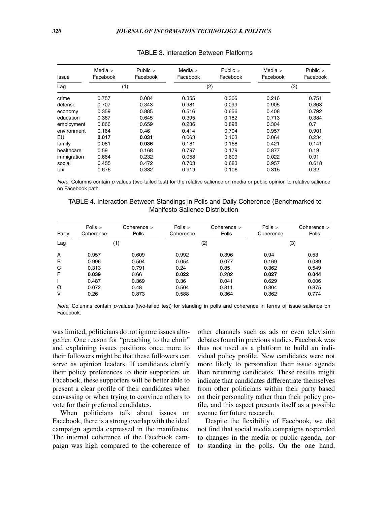| <b>Issue</b> | Media $>$<br>Facebook | Public $>$<br>Facebook | Media $>$<br>Facebook | Public $>$<br>Facebook | Media $>$<br>Facebook | Public $>$<br>Facebook |
|--------------|-----------------------|------------------------|-----------------------|------------------------|-----------------------|------------------------|
| Lag          |                       | (1)                    | (2)                   |                        | (3)                   |                        |
| crime        | 0.757                 | 0.084                  | 0.355                 | 0.366                  | 0.216                 | 0.751                  |
| defense      | 0.707                 | 0.343                  | 0.981                 | 0.099                  | 0.905                 | 0.363                  |
| economy      | 0.359                 | 0.885                  | 0.516                 | 0.656                  | 0.408                 | 0.792                  |
| education    | 0.367                 | 0.645                  | 0.395                 | 0.182                  | 0.713                 | 0.384                  |
| employment   | 0.866                 | 0.659                  | 0.236                 | 0.898                  | 0.304                 | 0.7                    |
| environment  | 0.164                 | 0.46                   | 0.414                 | 0.704                  | 0.957                 | 0.901                  |
| EU           | 0.017                 | 0.031                  | 0.063                 | 0.103                  | 0.064                 | 0.234                  |
| family       | 0.081                 | 0.036                  | 0.181                 | 0.168                  | 0.421                 | 0.141                  |
| healthcare   | 0.59                  | 0.168                  | 0.797                 | 0.179                  | 0.877                 | 0.19                   |
| immigration  | 0.664                 | 0.232                  | 0.058                 | 0.609                  | 0.022                 | 0.91                   |
| social       | 0.455                 | 0.472                  | 0.703                 | 0.683                  | 0.957                 | 0.618                  |
| tax          | 0.676                 | 0.332                  | 0.919                 | 0.106                  | 0.315                 | 0.32                   |

#### <span id="page-18-0"></span>TABLE 3. Interaction Between Platforms

*Note*. Columns contain *p*-values (two-tailed test) for the relative salience on media or public opinion to relative salience on Facebook path.

TABLE 4. Interaction Between Standings in Polls and Daily Coherence (Benchmarked to Manifesto Salience Distribution

| Party | Polls $>$<br>Coherence | Coherence $>$<br>Polls | Polls $>$<br>Coherence | Coherence $>$<br>Polls | Polls $>$<br>Coherence | Cohenence<br>Polls |
|-------|------------------------|------------------------|------------------------|------------------------|------------------------|--------------------|
| Lag   | (1)                    |                        | (2)                    |                        | (3)                    |                    |
| A     | 0.957                  | 0.609                  | 0.992                  | 0.396                  | 0.94                   | 0.53               |
| B     | 0.996                  | 0.504                  | 0.054                  | 0.077                  | 0.169                  | 0.089              |
| C     | 0.313                  | 0.791                  | 0.24                   | 0.85                   | 0.362                  | 0.549              |
| F     | 0.039                  | 0.66                   | 0.022                  | 0.282                  | 0.027                  | 0.044              |
|       | 0.487                  | 0.369                  | 0.36                   | 0.041                  | 0.629                  | 0.006              |
| Ø     | 0.072                  | 0.48                   | 0.504                  | 0.811                  | 0.304                  | 0.875              |
| v     | 0.26                   | 0.873                  | 0.588                  | 0.364                  | 0.362                  | 0.774              |

*Note.* Columns contain *p*-values (two-tailed test) for standing in polls and coherence in terms of issue salience on Facebook.

was limited, politicians do not ignore issues altogether. One reason for "preaching to the choir" and explaining issues positions once more to their followers might be that these followers can serve as opinion leaders. If candidates clarify their policy preferences to their supporters on Facebook, these supporters will be better able to present a clear profile of their candidates when canvassing or when trying to convince others to vote for their preferred candidates.

When politicians talk about issues on Facebook, there is a strong overlap with the ideal campaign agenda expressed in the manifestos. The internal coherence of the Facebook campaign was high compared to the coherence of

<span id="page-18-1"></span>other channels such as ads or even television debates found in previous studies. Facebook was thus not used as a platform to build an individual policy profile. New candidates were not more likely to personalize their issue agenda than rerunning candidates. These results might indicate that candidates differentiate themselves from other politicians within their party based on their personality rather than their policy profile, and this aspect presents itself as a possible avenue for future research.

Despite the flexibility of Facebook, we did not find that social media campaigns responded to changes in the media or public agenda, nor to standing in the polls. On the one hand,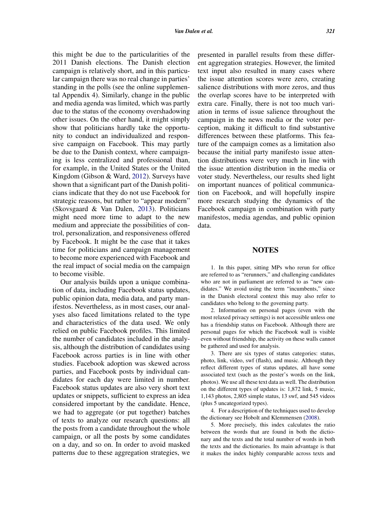this might be due to the particularities of the 2011 Danish elections. The Danish election campaign is relatively short, and in this particular campaign there was no real change in parties' standing in the polls (see the online supplemental Appendix 4). Similarly, change in the public and media agenda was limited, which was partly due to the status of the economy overshadowing other issues. On the other hand, it might simply show that politicians hardly take the opportunity to conduct an individualized and responsive campaign on Facebook. This may partly be due to the Danish context, where campaigning is less centralized and professional than, for example, in the United States or the United Kingdom (Gibson & Ward, [2012\)](#page-21-23). Surveys have shown that a significant part of the Danish politicians indicate that they do not use Facebook for strategic reasons, but rather to "appear modern" (Skovsgaard & Van Dalen, [2013\)](#page-22-6). Politicians might need more time to adapt to the new medium and appreciate the possibilities of control, personalization, and responsiveness offered by Facebook. It might be the case that it takes time for politicians and campaign management to become more experienced with Facebook and the real impact of social media on the campaign to become visible.

Our analysis builds upon a unique combination of data, including Facebook status updates, public opinion data, media data, and party manifestos. Nevertheless, as in most cases, our analyses also faced limitations related to the type and characteristics of the data used. We only relied on public Facebook profiles. This limited the number of candidates included in the analysis, although the distribution of candidates using Facebook across parties is in line with other studies. Facebook adoption was skewed across parties, and Facebook posts by individual candidates for each day were limited in number. Facebook status updates are also very short text updates or snippets, sufficient to express an idea considered important by the candidate. Hence, we had to aggregate (or put together) batches of texts to analyze our research questions: all the posts from a candidate throughout the whole campaign, or all the posts by some candidates on a day, and so on. In order to avoid masked patterns due to these aggregation strategies, we presented in parallel results from these different aggregation strategies. However, the limited text input also resulted in many cases where the issue attention scores were zero, creating salience distributions with more zeros, and thus the overlap scores have to be interpreted with extra care. Finally, there is not too much variation in terms of issue salience throughout the campaign in the news media or the voter perception, making it difficult to find substantive differences between these platforms. This feature of the campaign comes as a limitation also because the initial party manifesto issue attention distributions were very much in line with the issue attention distribution in the media or voter study. Nevertheless, our results shed light on important nuances of political communication on Facebook, and will hopefully inspire more research studying the dynamics of the Facebook campaign in combination with party manifestos, media agendas, and public opinion data.

#### <span id="page-19-0"></span>**NOTES**

1. In this paper, sitting MPs who rerun for office are referred to as "rerunners," and challenging candidates who are not in parliament are referred to as "new candidates." We avoid using the term "incumbents," since in the Danish electoral context this may also refer to candidates who belong to the governing party.

2. Information on personal pages (even with the most relaxed privacy settings) is not accessible unless one has a friendship status on Facebook. Although there are personal pages for which the Facebook wall is visible even without friendship, the activity on these walls cannot be gathered and used for analysis.

<span id="page-19-1"></span>3. There are six types of status categories: status, photo, link, video, swf (flash), and music. Although they reflect different types of status updates, all have some associated text (such as the poster's words on the link, photos). We use all these text data as well. The distribution on the different types of updates is: 1,872 link, 5 music, 1,143 photos, 2,805 simple status, 13 swf, and 545 videos (plus 5 uncategorized types).

<span id="page-19-2"></span>4. For a description of the techniques used to develop the dictionary see Hobolt and Klemmensen [\(2008\)](#page-21-24).

<span id="page-19-3"></span>5. More precisely, this index calculates the ratio between the words that are found in both the dictionary and the texts and the total number of words in both the texts and the dictionaries. Its main advantage is that it makes the index highly comparable across texts and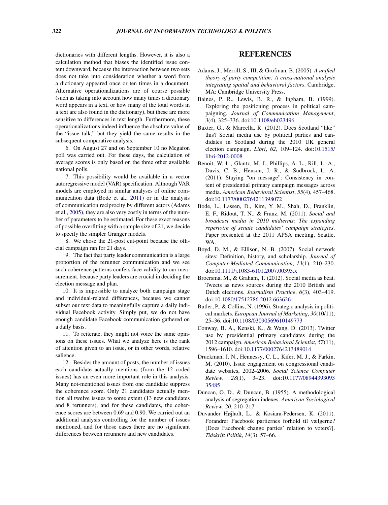dictionaries with different lengths. However, it is also a calculation method that biases the identified issue content downward, because the intersection between two sets does not take into consideration whether a word from a dictionary appeared once or ten times in a document. Alternative operationalizations are of course possible (such as taking into account how many times a dictionary word appears in a text, or how many of the total words in a text are also found in the dictionary), but these are more sensitive to differences in text length. Furthermore, these operationalizations indeed influence the absolute value of the "issue talk," but they yield the same results in the subsequent comparative analysis.

6. On August 27 and on September 10 no Megafon poll was carried out. For these days, the calculation of average scores is only based on the three other available national polls.

<span id="page-20-13"></span>7. This possibility would be available in a vector autoregressive model (VAR) specification. Although VAR models are employed in similar analyses of online communication data (Bode et al., [2011\)](#page-20-7) or in the analysis of communication reciprocity by different actors (Adams et al., [2005\)](#page-20-1), they are also very costly in terms of the number of parameters to be estimated. For these exact reasons of possible overfitting with a sample size of 21, we decide to specify the simpler Granger models.

8. We chose the 21-post cut-point because the official campaign ran for 21 days.

<span id="page-20-15"></span>9. The fact that party leader communication is a large proportion of the rerunner communication and we see such coherence patterns confers face validity to our measurement, because party leaders are crucial in deciding the election message and plan.

<span id="page-20-16"></span>10. It is impossible to analyze both campaign stage and individual-related differences, because we cannot subset our text data to meaningfully capture a daily individual Facebook activity. Simply put, we do not have enough candidate Facebook communication gathered on a daily basis.

<span id="page-20-17"></span>11. To reiterate, they might not voice the same opinions on these issues. What we analyze here is the rank of attention given to an issue, or in other words, relative salience.

<span id="page-20-18"></span>12. Besides the amount of posts, the number of issues each candidate actually mentions (from the 12 coded issues) has an even more important role in this analysis. Many not-mentioned issues from one candidate suppress the coherence score. Only 21 candidates actually mention all twelve issues to some extent (13 new candidates and 8 rerunners), and for these candidates, the coherence scores are between 0.69 and 0.90. We carried out an additional analysis controlling for the number of issues mentioned, and for those cases there are no significant differences between rerunners and new candidates.

# **REFERENCES**

- <span id="page-20-1"></span>Adams, J., Merrill, S., III, & Grofman, B. (2005). *A unified theory of party competition: A cross-national analysis integrating spatial and behavioral factors*. Cambridge, MA: Cambridge University Press.
- <span id="page-20-4"></span>Baines, P. R., Lewis, B. R., & Ingham, B. (1999). Exploring the positioning process in political campaigning. *Journal of Communication Management*, *3*(4), 325–336. doi[:1](http://dx.doi.org/10.1108/\gdef yes{no}\penalty \z@ \gdef \ {\penalty \z@ }\gdef no{no}\gdef yes{yes}\gdef \ \gdef \ {\ }\gdef no{no}\gdef yes{yes}{\penalty \z@ \gdef \ {\penalty \z@ }\gdef no{no}\gdef yes{yes}}eb023496)[0.1108/eb023496](http://dx.doi.org/10.1108/eb023496)
- <span id="page-20-0"></span>Baxter, G., & Marcella, R. (2012). Does Scotland "like" this? Social media use by political parties and candidates in Scotland during the 2010 UK general election campaign. *Libri*, *62*[,](http://dx.doi.org/10.1515/\gdef yes{no}\penalty \z@ \gdef \ {\penalty \z@ }\gdef no{no}\gdef yes{yes}\gdef \ \gdef \ {\ }\gdef no{no}\gdef yes{yes}{\penalty \z@ \gdef \ {\penalty \z@ }\gdef no{no}\gdef yes{yes}}libri-2012-0008) [109–124.](http://dx.doi.org/10.1515/\gdef yes{no}\penalty \z@ \gdef \ {\penalty \z@ }\gdef no{no}\gdef yes{yes}\gdef \ \gdef \ {\ }\gdef no{no}\gdef yes{yes}{\penalty \z@ \gdef \ {\penalty \z@ }\gdef no{no}\gdef yes{yes}}libri-2012-0008) [doi:](http://dx.doi.org/10.1515/\gdef yes{no}\penalty \z@ \gdef \ {\penalty \z@ }\gdef no{no}\gdef yes{yes}\gdef \ \gdef \ {\ }\gdef no{no}\gdef yes{yes}{\penalty \z@ \gdef \ {\penalty \z@ }\gdef no{no}\gdef yes{yes}}libri-2012-0008)[10.1515/](http://dx.doi.org/10.1515/libri-2012-0008) [libri-2012-0008](http://dx.doi.org/10.1515/libri-2012-0008)
- <span id="page-20-11"></span><span id="page-20-3"></span>Benoit, W. L., Glantz, M. J., Phillips, A. L., Rill, L. A., Davis, C. B., Henson, J. R., & Sudbrock, L. A. (2011). Staying "on message": Consistency in content of presidential primary campaign messages across media. *American Behavioral Scientist*, *55*(4), 457–468. doi[:1](http://dx.doi.org/10.1177/\gdef yes{no}\penalty \z@ \gdef \ {\penalty \z@ }\gdef no{no}\gdef yes{yes}\gdef \ \gdef \ {\ }\gdef no{no}\gdef yes{yes}{\penalty \z@ \gdef \ {\penalty \z@ }\gdef no{no}\gdef yes{yes}}0002764211398072)[0.1177/0002764211398072](http://dx.doi.org/10.1177/0002764211398072)
- <span id="page-20-7"></span>Bode, L., Lassen, D., Kim, Y. M., Shah, D., Franklin, E. F., Ridout, T. N., & Franz, M. (2011). *Social and broadcast media in 2010 midterms: The expanding repertoire of senate candidates' campaign strategies*. Paper presented at the 2011 APSA meeting, Seattle, WA.
- <span id="page-20-14"></span><span id="page-20-5"></span>Boyd, D. M., & Ellison, N. B. (2007). Social network sites: Definition, history, and scholarship. *Journal of Computer-Mediated Communication*, *13*(1), 210–230. doi[:10.1111/j.1083-6101.2007.00393.x](http://dx.doi.org/10.1111/\gdef yes{no}\penalty \z@ \gdef \ {\penalty \z@ }\gdef no{no}\gdef yes{yes}\gdef \ \gdef \ {\ }\gdef no{no}\gdef yes{yes}{\penalty \z@ \gdef \ {\penalty \z@ }\gdef no{no}\gdef yes{yes}}j.1083-6101.2007.00393.x)
- <span id="page-20-6"></span>Broersma, M., & Graham, T. (2012). Social media as beat. Tweets as news sources during the 2010 British and Dutch elections. *Journalism Practice*, *6*(3), 403–419. doi[:1](http://dx.doi.org/10.1080/\gdef yes{no}\penalty \z@ \gdef \ {\penalty \z@ }\gdef no{no}\gdef yes{yes}\gdef \ \gdef \ {\ }\gdef no{no}\gdef yes{yes}{\penalty \z@ \gdef \ {\penalty \z@ }\gdef no{no}\gdef yes{yes}}17512786.2012.663626)[0.1080/17512786.2012.663626](http://dx.doi.org/10.1080/17512786.2012.663626)
- <span id="page-20-8"></span>Butler, P., & Collins, N. (1996). Strategic analysis in political markets. *European Journal of Marketing*, *30*(10/11), 25–36. doi[:10.1108/03090569610149773](http://dx.doi.org/10.1108/\gdef yes{no}\penalty \z@ \gdef \ {\penalty \z@ }\gdef no{no}\gdef yes{yes}\gdef \ \gdef \ {\ }\gdef no{no}\gdef yes{yes}{\penalty \z@ \gdef \ {\penalty \z@ }\gdef no{no}\gdef yes{yes}}03090569610149773)
- <span id="page-20-10"></span>Conway, B. A., Kenski, K., & Wang, D. (2013). Twitter use by presidential primary candidates during the 2012 campaign. *American Behavioral Scientist*, *57*(11), 1596–1610. doi[:10.1177/0002764213489014](http://dx.doi.org/10.1177/\gdef yes{no}\penalty \z@ \gdef \ {\penalty \z@ }\gdef no{no}\gdef yes{yes}\gdef \ \gdef \ {\ }\gdef no{no}\gdef yes{yes}{\penalty \z@ \gdef \ {\penalty \z@ }\gdef no{no}\gdef yes{yes}}0002764213489014)
- <span id="page-20-2"></span>Druckman, J. N., Hennessy, C. L., Kifer, M. J., & Parkin, M. (2010). Issue engagement on congressional candidate websites, 2002–2006. *Social Science Computer Review*, *28*[\(1\), 3–23. doi:](http://dx.doi.org/10.1177/\gdef yes{no}\penalty \z@ \gdef \ {\penalty \z@ }\gdef no{no}\gdef yes{yes}\gdef \ \gdef \ {\ }\gdef no{no}\gdef yes{yes}{\penalty \z@ \gdef \ {\penalty \z@ }\gdef no{no}\gdef yes{yes}}08944393093\gdef yes{no}\penalty -\@M \gdef \ {\penalty -\@M }\gdef no{no}\gdef yes{yes}\gdef \ \gdef \ {\ }\gdef no{no}\gdef yes{yes}{\penalty -\@M \gdef \ {\penalty -\@M }\gdef no{no}\gdef yes{yes}}35485)[10.1177/08944393093](http://dx.doi.org/10.1177/0894439309335485) [35485](http://dx.doi.org/10.1177/0894439309335485)
- <span id="page-20-12"></span>Duncan, O. D., & Duncan, B. (1955). A methodological analysis of segregation indexes. *American Sociological Review*, *20*, 210–217.
- <span id="page-20-19"></span><span id="page-20-9"></span>Duvander Højholt, L., & Kosiara-Pedersen, K. (2011). Forandrer Facebook partiernes forhold til vælgerne? [Does Facebook change parties' relation to voters?]. *Tidskrift Politik*, *14*(3), 57–66.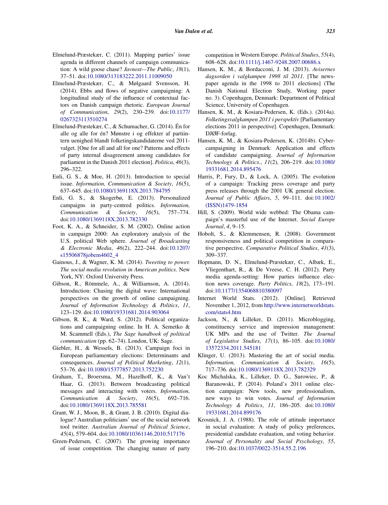- <span id="page-21-10"></span>Elmelund-Præstekær, C. (2011). Mapping parties' issue agenda in different channels of campaign communication: A wild goose chase? *Javnost—The Public*, *18*(1), 37–51. doi[:1](http://dx.doi.org/10.1080/\gdef yes{no}\penalty \z@ \gdef \ {\penalty \z@ }\gdef no{no}\gdef yes{yes}\gdef \ \gdef \ {\ }\gdef no{no}\gdef yes{yes}{\penalty \z@ \gdef \ {\penalty \z@ }\gdef no{no}\gdef yes{yes}}313183222.2011.11009050)[0.1080/313183222.2011.11009050](http://dx.doi.org/10.1080/313183222.2011.11009050)
- <span id="page-21-18"></span>Elmelund-Præstekær, C., & Mølgaard Svensson, H. (2014). Ebbs and flows of negative campaigning: A longitudinal study of the influence of contextual factors on Danish campaign rhetoric. *European Journal of Communication*, *29*[\(2\), 230–239. doi:](http://dx.doi.org/10.1177/\gdef yes{no}\penalty \z@ \gdef \ {\penalty \z@ }\gdef no{no}\gdef yes{yes}\gdef \ \gdef \ {\ }\gdef no{no}\gdef yes{yes}{\penalty \z@ \gdef \ {\penalty \z@ }\gdef no{no}\gdef yes{yes}}0267323113510274)[10.1177/](http://dx.doi.org/10.1177/0267323113510274) [0267323113510274](http://dx.doi.org/10.1177/0267323113510274)
- <span id="page-21-19"></span>Elmelund-Præstekær, C., & Schumacher, G. (2014). Én for alle og alle for én? Mønstre i og effekter af partiintern uenighed blandt folketingskandidaterne ved 2011 valget. [One for all and all for one? Patterns and effects of party internal disagreement among candidates for parliament in the Danish 2011 election]. *Politica*, *46*(3), 296–322.
- <span id="page-21-0"></span>Enli, G. S., & Moe, H. (2013). Introduction to special issue. *Information, Communication & Society*, *16*(5), 637–645. doi[:10.1080/1369118X.2013.784795](http://dx.doi.org/10.1080/\gdef yes{no}\penalty \z@ \gdef \ {\penalty \z@ }\gdef no{no}\gdef yes{yes}\gdef \ \gdef \ {\ }\gdef no{no}\gdef yes{yes}{\penalty \z@ \gdef \ {\penalty \z@ }\gdef no{no}\gdef yes{yes}}1369118X.2013.784795)
- <span id="page-21-2"></span>Enli, G. S., & Skogerbø, E. (2013). Personalized campaigns in party-centred politics. *Information, Communication & Society*, *16*(5), 757–774. doi[:1](http://dx.doi.org/10.1080/\gdef yes{no}\penalty \z@ \gdef \ {\penalty \z@ }\gdef no{no}\gdef yes{yes}\gdef \ \gdef \ {\ }\gdef no{no}\gdef yes{yes}{\penalty \z@ \gdef \ {\penalty \z@ }\gdef no{no}\gdef yes{yes}}1369118X.2013.782330)[0.1080/1369118X.2013.782330](http://dx.doi.org/10.1080/1369118X.2013.782330)
- <span id="page-21-15"></span>Foot, K. A., & Schneider, S. M. (2002). Online action in campaign 2000: An exploratory analysis of the U.S. political Web sphere. *Journal of Broadcasting & Electronic Media*, *46*(2), 222–244. doi:[10.1207/](http://dx.doi.org/10.1207/s15506878jobem4602_4) [s15506878jobem4602\\_4](http://dx.doi.org/10.1207/s15506878jobem4602_4)
- <span id="page-21-17"></span>Gainous, J., & Wagner, K. M. (2014). *Tweeting to power. The social media revolution in American politics*. New York, NY: Oxford University Press.
- <span id="page-21-1"></span>Gibson, R., Römmele, A., & Williamson, A. (2014). Introduction: Chasing the digital wave: International perspectives on the growth of online campaigning. *Journal of Information Technology & Politics*, *11*, 123–129. doi[:1](http://dx.doi.org/10.1080/\gdef yes{no}\penalty \z@ \gdef \ {\penalty \z@ }\gdef no{no}\gdef yes{yes}\gdef \ \gdef \ {\ }\gdef no{no}\gdef yes{yes}{\penalty \z@ \gdef \ {\penalty \z@ }\gdef no{no}\gdef yes{yes}}19331681.2014.903064)[0.1080/19331681.2014.903064](http://dx.doi.org/10.1080/19331681.2014.903064)
- <span id="page-21-23"></span>Gibson, R. K., & Ward, S. (2012). Political organizations and campaigning online. In H. A. Semetko & M. Scammell (Eds.), *The Sage handbook of political communication* (pp. 62–74). London, UK: Sage.
- <span id="page-21-16"></span>Giebler, H., & Wessels, B. (2013). Campaign foci in European parliamentary elections: Determinants and consequences. *Journal of Political Marketing*, *12*(1), 53–76. doi[:1](http://dx.doi.org/10.1080/\gdef yes{no}\penalty \z@ \gdef \ {\penalty \z@ }\gdef no{no}\gdef yes{yes}\gdef \ \gdef \ {\ }\gdef no{no}\gdef yes{yes}{\penalty \z@ \gdef \ {\penalty \z@ }\gdef no{no}\gdef yes{yes}}15377857.2013.752230)[0.1080/15377857.2013.752230](http://dx.doi.org/10.1080/15377857.2013.752230)
- <span id="page-21-3"></span>Graham, T., Broersma, M., Hazelhoff, K., & Van't Haar, G. (2013). Between broadcasting political messages and interacting with voters. *Information, Communication & Society*, *16*(5), 692–716. doi[:1](http://dx.doi.org/10.1080/\gdef yes{no}\penalty \z@ \gdef \ {\penalty \z@ }\gdef no{no}\gdef yes{yes}\gdef \ \gdef \ {\ }\gdef no{no}\gdef yes{yes}{\penalty \z@ \gdef \ {\penalty \z@ }\gdef no{no}\gdef yes{yes}}1369118X.2013.785581)[0.1080/1369118X.2013.785581](http://dx.doi.org/10.1080/1369118X.2013.785581)
- <span id="page-21-7"></span>Grant, W. J., Moon, B., & Grant, J. B. (2010). Digital dialogue? Australian politicians' use of the social network tool twitter. *Australian Journal of Political Science*, *45*(4), 579–604. doi[:1](http://dx.doi.org/10.1080/\gdef yes{no}\penalty \z@ \gdef \ {\penalty \z@ }\gdef no{no}\gdef yes{yes}\gdef \ \gdef \ {\ }\gdef no{no}\gdef yes{yes}{\penalty \z@ \gdef \ {\penalty \z@ }\gdef no{no}\gdef yes{yes}}10361146.2010.517176)[0.1080/10361146.2010.517176](http://dx.doi.org/10.1080/10361146.2010.517176)
- <span id="page-21-8"></span>Green-Pedersen, C. (2007). The growing importance of issue competition. The changing nature of party

competition in Western Europe. *Political Studies*, *55*(4), 608–628. doi[:10.1111/j.1467-9248.2007.00686.x](http://dx.doi.org/10.1111/\gdef yes{no}\penalty \z@ \gdef \ {\penalty \z@ }\gdef no{no}\gdef yes{yes}\gdef \ \gdef \ {\ }\gdef no{no}\gdef yes{yes}{\penalty \z@ \gdef \ {\penalty \z@ }\gdef no{no}\gdef yes{yes}}j.1467-9248.2007.00686.x)

- <span id="page-21-11"></span>Hansen, K. M., & Bordacconi, J. M. (2013). *Avisernes dagsorden i valgkampen 1998 til 2011*. [The newspaper agenda in the 1998 to 2011 elections] (The Danish National Election Study, Working paper no. 3). Copenhagen, Denmark: Department of Political Science, University of Copenhagen.
- <span id="page-21-12"></span>Hansen, K. M., & Kosiara-Pedersen, K. (Eds.). (2014a). *Folketingsvalgkampen 2011 i perspektiv* [Parliamentary elections 2011 in perspective]. Copenhagen, Denmark: DJØF-forlag.
- <span id="page-21-14"></span>Hansen, K. M., & Kosiara-Pedersen, K. (2014b). Cybercampaigning in Denmark: Application and effects of candidate campaigning. *Journal of Information Technology & Politics.*, *11*[\(2\),](http://dx.doi.org/10.1080/\gdef yes{no}\penalty \z@ \gdef \ {\penalty \z@ }\gdef no{no}\gdef yes{yes}\gdef \ \gdef \ {\ }\gdef no{no}\gdef yes{yes}{\penalty \z@ \gdef \ {\penalty \z@ }\gdef no{no}\gdef yes{yes}}19331681.2014.895476) [206–219.](http://dx.doi.org/10.1080/\gdef yes{no}\penalty \z@ \gdef \ {\penalty \z@ }\gdef no{no}\gdef yes{yes}\gdef \ \gdef \ {\ }\gdef no{no}\gdef yes{yes}{\penalty \z@ \gdef \ {\penalty \z@ }\gdef no{no}\gdef yes{yes}}19331681.2014.895476) [doi:](http://dx.doi.org/10.1080/\gdef yes{no}\penalty \z@ \gdef \ {\penalty \z@ }\gdef no{no}\gdef yes{yes}\gdef \ \gdef \ {\ }\gdef no{no}\gdef yes{yes}{\penalty \z@ \gdef \ {\penalty \z@ }\gdef no{no}\gdef yes{yes}}19331681.2014.895476)[10.1080/](http://dx.doi.org/10.1080/19331681.2014.895476) [19331681.2014.895476](http://dx.doi.org/10.1080/19331681.2014.895476)
- <span id="page-21-21"></span>Harris, P., Fury, D., & Lock, A. (2005). The evolution of a campaign: Tracking press coverage and party press releases through the 2001 UK general election. *Journal of Public Affairs*, *5*, 99–111. doi:[10.1002/](http://dx.doi.org/10.1002/(ISSN)1479-1854) [\(ISSN\)1479-1854](http://dx.doi.org/10.1002/(ISSN)1479-1854)
- <span id="page-21-13"></span>Hill, S. (2009). World wide webbed: The Obama campaign's masterful use of the Internet. *Social Europe Journal*, *4*, 9–15.
- <span id="page-21-24"></span>Hobolt, S., & Klemmensen, R. (2008). Government responsiveness and political competition in comparative perspective. *Comparative Political Studies*, *41*(3), 309–337.
- <span id="page-21-20"></span>Hopmann, D. N., Elmelund-Præstekær, C., Albæk, E., Vliegenthart, R., & De Vreese, C. H. (2012). Party media agenda-setting: How parties influence election news coverage. *Party Politics*, *18*(2), 173–191. doi[:1](http://dx.doi.org/10.1177/\gdef yes{no}\penalty \z@ \gdef \ {\penalty \z@ }\gdef no{no}\gdef yes{yes}\gdef \ \gdef \ {\ }\gdef no{no}\gdef yes{yes}{\penalty \z@ \gdef \ {\penalty \z@ }\gdef no{no}\gdef yes{yes}}1354068810380097)[0.1177/1354068810380097](http://dx.doi.org/10.1177/1354068810380097)
- <span id="page-21-22"></span>Internet World Stats. (2012). [Online]. Retrieved November 1, 2012, from [http://www.internetworldstats.](http://www.internetworldstats.com/stats4.htm) [com/stats4.htm](http://www.internetworldstats.com/stats4.htm)
- <span id="page-21-4"></span>Jackson, N., & Lilleker, D. (2011). Microblogging, constituency service and impression management: UK MPs and the use of Twitter. *The Journal of Legislative Studies*, *17*[\(1\),](http://dx.doi.org/10.1080/\gdef yes{no}\penalty \z@ \gdef \ {\penalty \z@ }\gdef no{no}\gdef yes{yes}\gdef \ \gdef \ {\ }\gdef no{no}\gdef yes{yes}{\penalty \z@ \gdef \ {\penalty \z@ }\gdef no{no}\gdef yes{yes}}13572334.2011.545181) [86–105.](http://dx.doi.org/10.1080/\gdef yes{no}\penalty \z@ \gdef \ {\penalty \z@ }\gdef no{no}\gdef yes{yes}\gdef \ \gdef \ {\ }\gdef no{no}\gdef yes{yes}{\penalty \z@ \gdef \ {\penalty \z@ }\gdef no{no}\gdef yes{yes}}13572334.2011.545181) [doi:](http://dx.doi.org/10.1080/\gdef yes{no}\penalty \z@ \gdef \ {\penalty \z@ }\gdef no{no}\gdef yes{yes}\gdef \ \gdef \ {\ }\gdef no{no}\gdef yes{yes}{\penalty \z@ \gdef \ {\penalty \z@ }\gdef no{no}\gdef yes{yes}}13572334.2011.545181)[10.1080/](http://dx.doi.org/10.1080/13572334.2011.545181) [13572334.2011.545181](http://dx.doi.org/10.1080/13572334.2011.545181)
- <span id="page-21-5"></span>Klinger, U. (2013). Mastering the art of social media. *Information, Communication & Society*, *16*(5), 717–736. doi[:10.1080/1369118X.2013.782329](http://dx.doi.org/10.1080/\gdef yes{no}\penalty \z@ \gdef \ {\penalty \z@ }\gdef no{no}\gdef yes{yes}\gdef \ \gdef \ {\ }\gdef no{no}\gdef yes{yes}{\penalty \z@ \gdef \ {\penalty \z@ }\gdef no{no}\gdef yes{yes}}1369118X.2013.782329)
- <span id="page-21-6"></span>Koc Michalska, K., Lilleker, D. G., Surowiec, P., & Baranowski, P. (2014). Poland's 2011 online election campaign: New tools, new professionalism, new ways to win votes. *Journal of Information Technology & Politics*, *11*[, 186–205. doi:](http://dx.doi.org/10.1080/\gdef yes{no}\penalty \z@ \gdef \ {\penalty \z@ }\gdef no{no}\gdef yes{yes}\gdef \ \gdef \ {\ }\gdef no{no}\gdef yes{yes}{\penalty \z@ \gdef \ {\penalty \z@ }\gdef no{no}\gdef yes{yes}}19331681.2014.899176)[10.1080/](http://dx.doi.org/10.1080/19331681.2014.899176) [19331681.2014.899176](http://dx.doi.org/10.1080/19331681.2014.899176)
- <span id="page-21-9"></span>Krosnick, J. A. (1988). The role of attitude importance in social evaluation: A study of policy preferences, presidential candidate evaluation, and voting behavior. *Journal of Personality and Social Psychology*, *55*, 196–210. doi[:1](http://dx.doi.org/10.1037/\gdef yes{no}\penalty \z@ \gdef \ {\penalty \z@ }\gdef no{no}\gdef yes{yes}\gdef \ \gdef \ {\ }\gdef no{no}\gdef yes{yes}{\penalty \z@ \gdef \ {\penalty \z@ }\gdef no{no}\gdef yes{yes}}0022-3514.55.2.196)[0.1037/0022-3514.55.2.196](http://dx.doi.org/10.1037/0022-3514.55.2.196)